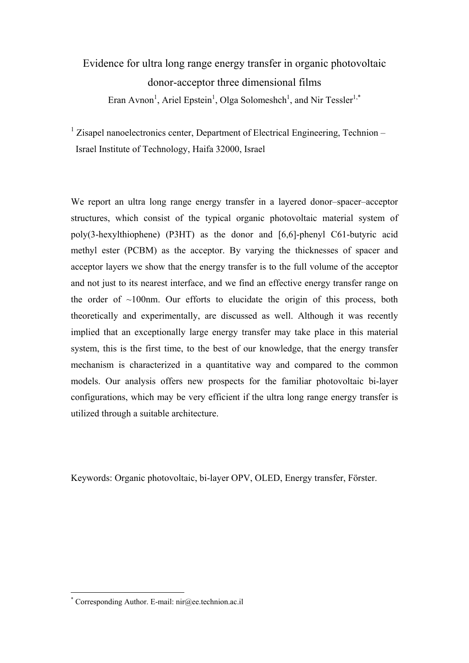# Evidence for ultra long range energy transfer in organic photovoltaic donor-acceptor three dimensional films Eran Avnon<sup>1</sup>, Ariel Epstein<sup>1</sup>, Olga Solomeshch<sup>1</sup>, and Nir Tessler<sup>1,\*</sup>

<sup>1</sup> Zisapel nanoelectronics center, Department of Electrical Engineering, Technion – Israel Institute of Technology, Haifa 32000, Israel

We report an ultra long range energy transfer in a layered donor–spacer–acceptor structures, which consist of the typical organic photovoltaic material system of poly(3-hexylthiophene) (P3HT) as the donor and [6,6]-phenyl C61-butyric acid methyl ester (PCBM) as the acceptor. By varying the thicknesses of spacer and acceptor layers we show that the energy transfer is to the full volume of the acceptor and not just to its nearest interface, and we find an effective energy transfer range on the order of  $\sim100$ nm. Our efforts to elucidate the origin of this process, both theoretically and experimentally, are discussed as well. Although it was recently implied that an exceptionally large energy transfer may take place in this material system, this is the first time, to the best of our knowledge, that the energy transfer mechanism is characterized in a quantitative way and compared to the common models. Our analysis offers new prospects for the familiar photovoltaic bi-layer configurations, which may be very efficient if the ultra long range energy transfer is utilized through a suitable architecture.

Keywords: Organic photovoltaic, bi-layer OPV, OLED, Energy transfer, Förster.

1

<sup>\*</sup> Corresponding Author. E-mail: nir@ee.technion.ac.il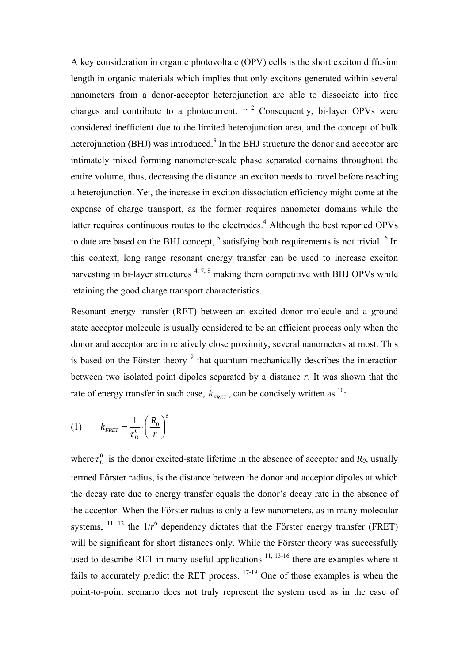A key consideration in organic photovoltaic (OPV) cells is the short exciton diffusion length in organic materials which implies that only excitons generated within several nanometers from a donor-acceptor heterojunction are able to dissociate into free charges and contribute to a photocurrent.  $\frac{1}{2}$  Consequently, bi-layer OPVs were considered inefficient due to the limited heterojunction area, and the concept of bulk heterojunction (BHJ) was introduced.<sup>3</sup> In the BHJ structure the donor and acceptor are intimately mixed forming nanometer-scale phase separated domains throughout the entire volume, thus, decreasing the distance an exciton needs to travel before reaching a heterojunction. Yet, the increase in exciton dissociation efficiency might come at the expense of charge transport, as the former requires nanometer domains while the latter requires continuous routes to the electrodes. $<sup>4</sup>$  Although the best reported OPVs</sup> to date are based on the BHJ concept,  $<sup>5</sup>$  satisfying both requirements is not trivial.  $<sup>6</sup>$  In</sup></sup> this context, long range resonant energy transfer can be used to increase exciton harvesting in bi-layer structures  $4, 7, 8$  making them competitive with BHJ OPVs while retaining the good charge transport characteristics.

Resonant energy transfer (RET) between an excited donor molecule and a ground state acceptor molecule is usually considered to be an efficient process only when the donor and acceptor are in relatively close proximity, several nanometers at most. This is based on the Förster theory  $9$  that quantum mechanically describes the interaction between two isolated point dipoles separated by a distance *r*. It was shown that the rate of energy transfer in such case,  $k_{\text{ERFT}}$ , can be concisely written as <sup>10</sup>:

$$
(1) \qquad k_{FRET} = \frac{1}{\tau_D^0} \cdot \left(\frac{R_0}{r}\right)^6
$$

where  $\tau_D^0$  is the donor excited-state lifetime in the absence of acceptor and  $R_0$ , usually termed Förster radius, is the distance between the donor and acceptor dipoles at which the decay rate due to energy transfer equals the donor's decay rate in the absence of the acceptor. When the Förster radius is only a few nanometers, as in many molecular systems,  $^{11, 12}$  the  $1/r^6$  dependency dictates that the Förster energy transfer (FRET) will be significant for short distances only. While the Förster theory was successfully used to describe RET in many useful applications  $11, 13-16$  there are examples where it fails to accurately predict the RET process. 17-19 One of those examples is when the point-to-point scenario does not truly represent the system used as in the case of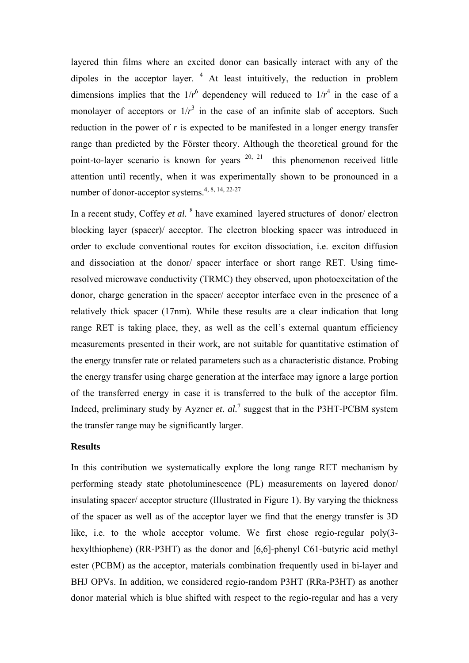layered thin films where an excited donor can basically interact with any of the dipoles in the acceptor layer.  $4$  At least intuitively, the reduction in problem dimensions implies that the  $1/r^6$  dependency will reduced to  $1/r^4$  in the case of a monolayer of acceptors or  $1/r^3$  in the case of an infinite slab of acceptors. Such reduction in the power of *r* is expected to be manifested in a longer energy transfer range than predicted by the Förster theory. Although the theoretical ground for the point-to-layer scenario is known for years  $20$ ,  $21$  this phenomenon received little attention until recently, when it was experimentally shown to be pronounced in a number of donor-acceptor systems.4, 8, 14, 22-27

In a recent study, Coffey *et al.* <sup>8</sup> have examined layered structures of donor/ electron blocking layer (spacer)/ acceptor. The electron blocking spacer was introduced in order to exclude conventional routes for exciton dissociation, i.e. exciton diffusion and dissociation at the donor/ spacer interface or short range RET. Using timeresolved microwave conductivity (TRMC) they observed, upon photoexcitation of the donor, charge generation in the spacer/ acceptor interface even in the presence of a relatively thick spacer (17nm). While these results are a clear indication that long range RET is taking place, they, as well as the cell's external quantum efficiency measurements presented in their work, are not suitable for quantitative estimation of the energy transfer rate or related parameters such as a characteristic distance. Probing the energy transfer using charge generation at the interface may ignore a large portion of the transferred energy in case it is transferred to the bulk of the acceptor film. Indeed, preliminary study by Ayzner *et. al.*<sup>7</sup> suggest that in the P3HT-PCBM system the transfer range may be significantly larger.

## **Results**

In this contribution we systematically explore the long range RET mechanism by performing steady state photoluminescence (PL) measurements on layered donor/ insulating spacer/ acceptor structure (Illustrated in Figure 1). By varying the thickness of the spacer as well as of the acceptor layer we find that the energy transfer is 3D like, i.e. to the whole acceptor volume. We first chose regio-regular poly(3 hexylthiophene) (RR-P3HT) as the donor and [6,6]-phenyl C61-butyric acid methyl ester (PCBM) as the acceptor, materials combination frequently used in bi-layer and BHJ OPVs. In addition, we considered regio-random P3HT (RRa-P3HT) as another donor material which is blue shifted with respect to the regio-regular and has a very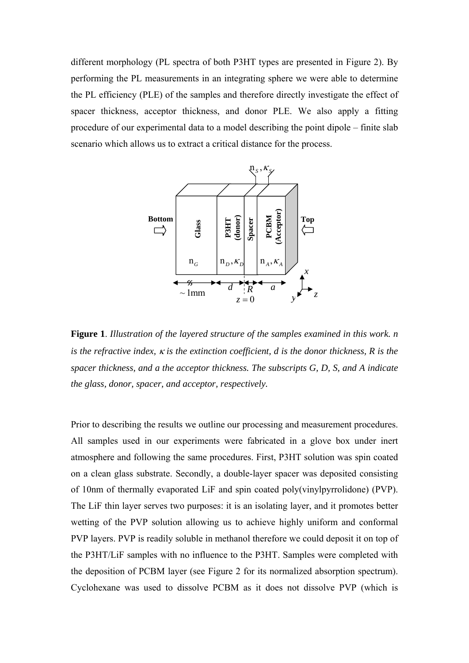different morphology (PL spectra of both P3HT types are presented in Figure 2). By performing the PL measurements in an integrating sphere we were able to determine the PL efficiency (PLE) of the samples and therefore directly investigate the effect of spacer thickness, acceptor thickness, and donor PLE. We also apply a fitting procedure of our experimental data to a model describing the point dipole – finite slab scenario which allows us to extract a critical distance for the process.



**Figure 1**. *Illustration of the layered structure of the samples examined in this work. n is the refractive index, is the extinction coefficient, d is the donor thickness, R is the spacer thickness, and a the acceptor thickness. The subscripts G, D, S, and A indicate the glass, donor, spacer, and acceptor, respectively.*

Prior to describing the results we outline our processing and measurement procedures. All samples used in our experiments were fabricated in a glove box under inert atmosphere and following the same procedures. First, P3HT solution was spin coated on a clean glass substrate. Secondly, a double-layer spacer was deposited consisting of 10nm of thermally evaporated LiF and spin coated poly(vinylpyrrolidone) (PVP). The LiF thin layer serves two purposes: it is an isolating layer, and it promotes better wetting of the PVP solution allowing us to achieve highly uniform and conformal PVP layers. PVP is readily soluble in methanol therefore we could deposit it on top of the P3HT/LiF samples with no influence to the P3HT. Samples were completed with the deposition of PCBM layer (see Figure 2 for its normalized absorption spectrum). Cyclohexane was used to dissolve PCBM as it does not dissolve PVP (which is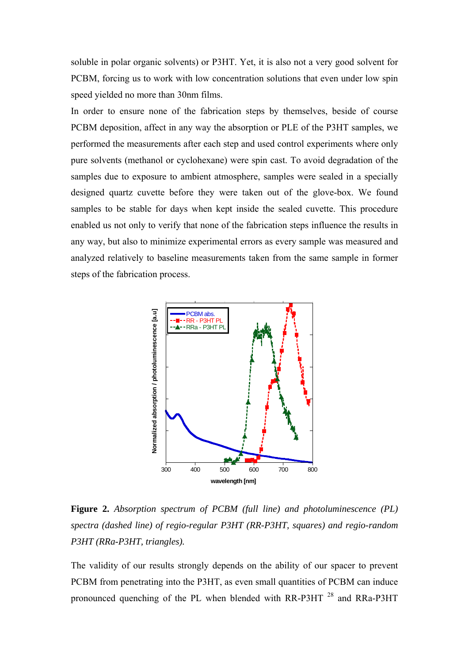soluble in polar organic solvents) or P3HT. Yet, it is also not a very good solvent for PCBM, forcing us to work with low concentration solutions that even under low spin speed yielded no more than 30nm films.

In order to ensure none of the fabrication steps by themselves, beside of course PCBM deposition, affect in any way the absorption or PLE of the P3HT samples, we performed the measurements after each step and used control experiments where only pure solvents (methanol or cyclohexane) were spin cast. To avoid degradation of the samples due to exposure to ambient atmosphere, samples were sealed in a specially designed quartz cuvette before they were taken out of the glove-box. We found samples to be stable for days when kept inside the sealed cuvette. This procedure enabled us not only to verify that none of the fabrication steps influence the results in any way, but also to minimize experimental errors as every sample was measured and analyzed relatively to baseline measurements taken from the same sample in former steps of the fabrication process.



**Figure 2.** *Absorption spectrum of PCBM (full line) and photoluminescence (PL) spectra (dashed line) of regio-regular P3HT (RR-P3HT, squares) and regio-random P3HT (RRa-P3HT, triangles).* 

The validity of our results strongly depends on the ability of our spacer to prevent PCBM from penetrating into the P3HT, as even small quantities of PCBM can induce pronounced quenching of the PL when blended with RR-P3HT 28 and RRa-P3HT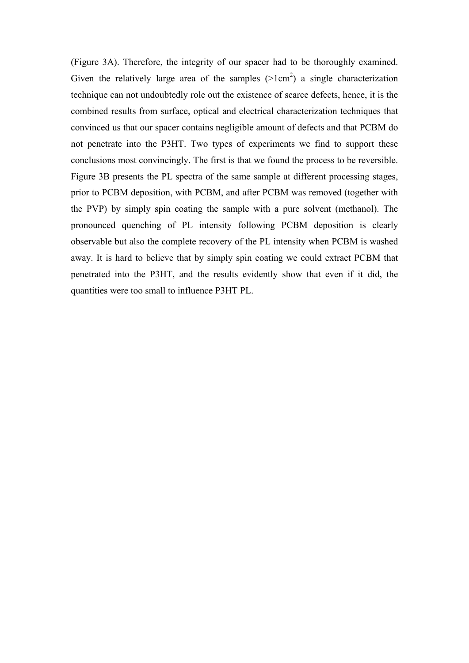(Figure 3A). Therefore, the integrity of our spacer had to be thoroughly examined. Given the relatively large area of the samples  $(>1 \text{ cm}^2)$  a single characterization technique can not undoubtedly role out the existence of scarce defects, hence, it is the combined results from surface, optical and electrical characterization techniques that convinced us that our spacer contains negligible amount of defects and that PCBM do not penetrate into the P3HT. Two types of experiments we find to support these conclusions most convincingly. The first is that we found the process to be reversible. Figure 3B presents the PL spectra of the same sample at different processing stages, prior to PCBM deposition, with PCBM, and after PCBM was removed (together with the PVP) by simply spin coating the sample with a pure solvent (methanol). The pronounced quenching of PL intensity following PCBM deposition is clearly observable but also the complete recovery of the PL intensity when PCBM is washed away. It is hard to believe that by simply spin coating we could extract PCBM that penetrated into the P3HT, and the results evidently show that even if it did, the quantities were too small to influence P3HT PL.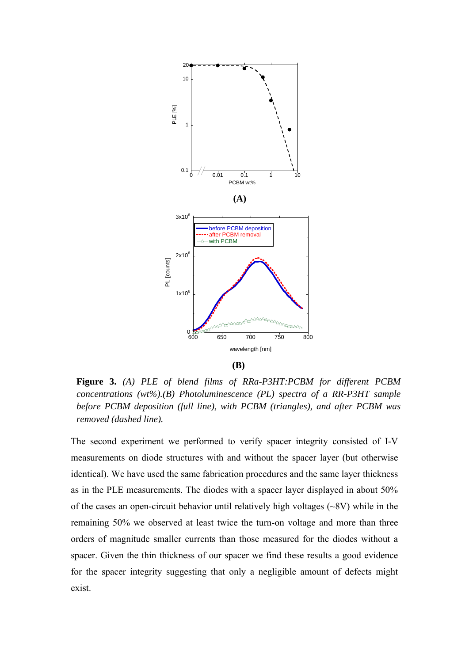

**Figure 3.** *(A) PLE of blend films of RRa-P3HT:PCBM for different PCBM concentrations (wt%).(B) Photoluminescence (PL) spectra of a RR-P3HT sample before PCBM deposition (full line), with PCBM (triangles), and after PCBM was removed (dashed line).* 

The second experiment we performed to verify spacer integrity consisted of I-V measurements on diode structures with and without the spacer layer (but otherwise identical). We have used the same fabrication procedures and the same layer thickness as in the PLE measurements. The diodes with a spacer layer displayed in about 50% of the cases an open-circuit behavior until relatively high voltages (~8V) while in the remaining 50% we observed at least twice the turn-on voltage and more than three orders of magnitude smaller currents than those measured for the diodes without a spacer. Given the thin thickness of our spacer we find these results a good evidence for the spacer integrity suggesting that only a negligible amount of defects might exist.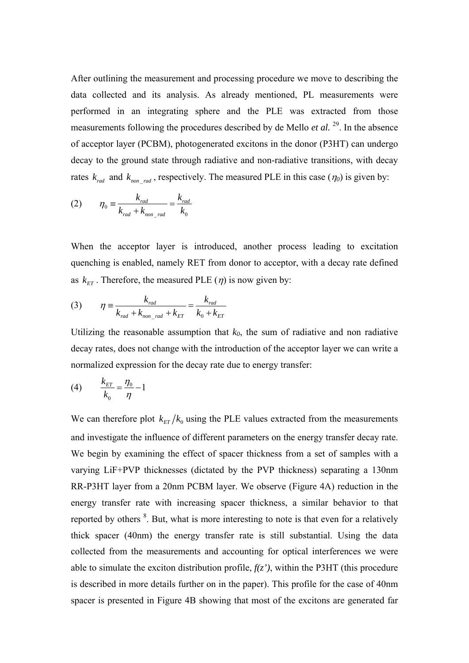After outlining the measurement and processing procedure we move to describing the data collected and its analysis. As already mentioned, PL measurements were performed in an integrating sphere and the PLE was extracted from those measurements following the procedures described by de Mello *et al.* <sup>29</sup>. In the absence of acceptor layer (PCBM), photogenerated excitons in the donor (P3HT) can undergo decay to the ground state through radiative and non-radiative transitions, with decay rates  $k_{rad}$  and  $k_{nonrad}$ , respectively. The measured PLE in this case ( $\eta_0$ ) is given by:

$$
(2) \qquad \eta_0 \equiv \frac{k_{rad}}{k_{rad} + k_{non\_rad}} = \frac{k_{rad}}{k_0}
$$

When the acceptor layer is introduced, another process leading to excitation quenching is enabled, namely RET from donor to acceptor, with a decay rate defined as  $k_{ET}$ . Therefore, the measured PLE ( $\eta$ ) is now given by:

(3) 
$$
\eta = \frac{k_{rad}}{k_{rad} + k_{non\_rad} + k_{ET}} = \frac{k_{rad}}{k_0 + k_{ET}}
$$

Utilizing the reasonable assumption that  $k_0$ , the sum of radiative and non radiative decay rates, does not change with the introduction of the acceptor layer we can write a normalized expression for the decay rate due to energy transfer:

(4) 
$$
\frac{k_{ET}}{k_0} = \frac{\eta_0}{\eta} - 1
$$

We can therefore plot  $k_{FT}/k_0$  using the PLE values extracted from the measurements and investigate the influence of different parameters on the energy transfer decay rate. We begin by examining the effect of spacer thickness from a set of samples with a varying LiF+PVP thicknesses (dictated by the PVP thickness) separating a 130nm RR-P3HT layer from a 20nm PCBM layer. We observe (Figure 4A) reduction in the energy transfer rate with increasing spacer thickness, a similar behavior to that reported by others <sup>8</sup>. But, what is more interesting to note is that even for a relatively thick spacer (40nm) the energy transfer rate is still substantial. Using the data collected from the measurements and accounting for optical interferences we were able to simulate the exciton distribution profile,  $f(z)$ , within the P3HT (this procedure is described in more details further on in the paper). This profile for the case of 40nm spacer is presented in Figure 4B showing that most of the excitons are generated far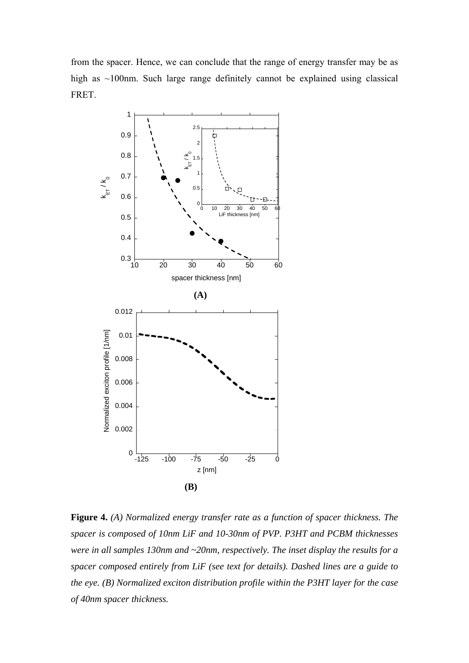from the spacer. Hence, we can conclude that the range of energy transfer may be as high as ~100nm. Such large range definitely cannot be explained using classical FRET.



**Figure 4.** *(A) Normalized energy transfer rate as a function of spacer thickness. The spacer is composed of 10nm LiF and 10-30nm of PVP. P3HT and PCBM thicknesses were in all samples 130nm and ~20nm, respectively. The inset display the results for a spacer composed entirely from LiF (see text for details). Dashed lines are a guide to the eye. (B) Normalized exciton distribution profile within the P3HT layer for the case of 40nm spacer thickness.*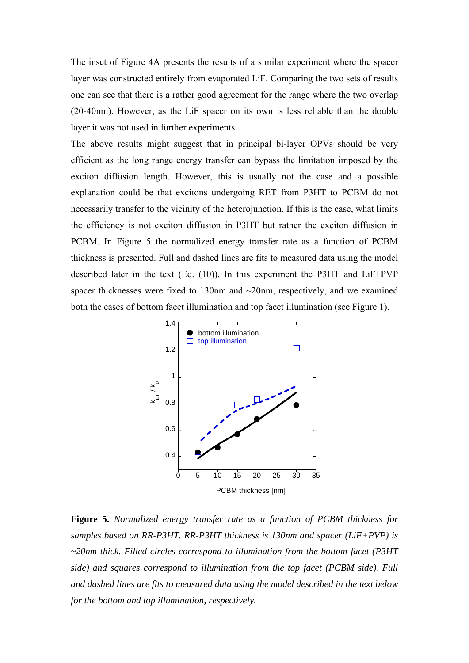The inset of Figure 4A presents the results of a similar experiment where the spacer layer was constructed entirely from evaporated LiF. Comparing the two sets of results one can see that there is a rather good agreement for the range where the two overlap (20-40nm). However, as the LiF spacer on its own is less reliable than the double layer it was not used in further experiments.

The above results might suggest that in principal bi-layer OPVs should be very efficient as the long range energy transfer can bypass the limitation imposed by the exciton diffusion length. However, this is usually not the case and a possible explanation could be that excitons undergoing RET from P3HT to PCBM do not necessarily transfer to the vicinity of the heterojunction. If this is the case, what limits the efficiency is not exciton diffusion in P3HT but rather the exciton diffusion in PCBM. In Figure 5 the normalized energy transfer rate as a function of PCBM thickness is presented. Full and dashed lines are fits to measured data using the model described later in the text (Eq. (10)). In this experiment the P3HT and LiF+PVP spacer thicknesses were fixed to 130nm and ~20nm, respectively, and we examined both the cases of bottom facet illumination and top facet illumination (see Figure 1).



**Figure 5.** *Normalized energy transfer rate as a function of PCBM thickness for samples based on RR-P3HT. RR-P3HT thickness is 130nm and spacer (LiF+PVP) is ~20nm thick. Filled circles correspond to illumination from the bottom facet (P3HT side) and squares correspond to illumination from the top facet (PCBM side). Full and dashed lines are fits to measured data using the model described in the text below for the bottom and top illumination, respectively.*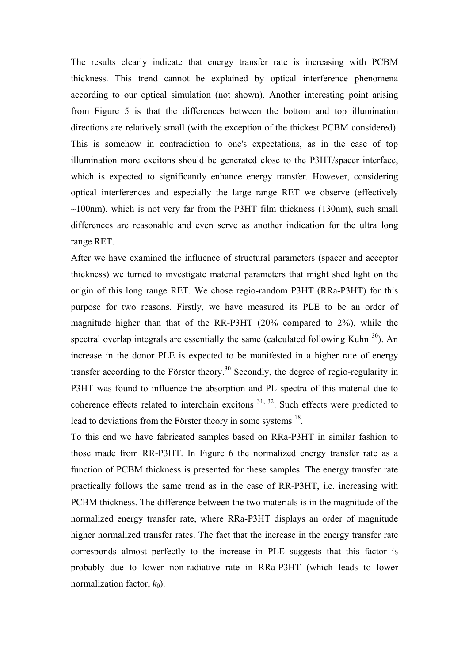The results clearly indicate that energy transfer rate is increasing with PCBM thickness. This trend cannot be explained by optical interference phenomena according to our optical simulation (not shown). Another interesting point arising from Figure 5 is that the differences between the bottom and top illumination directions are relatively small (with the exception of the thickest PCBM considered). This is somehow in contradiction to one's expectations, as in the case of top illumination more excitons should be generated close to the P3HT/spacer interface, which is expected to significantly enhance energy transfer. However, considering optical interferences and especially the large range RET we observe (effectively  $\sim$ 100nm), which is not very far from the P3HT film thickness (130nm), such small differences are reasonable and even serve as another indication for the ultra long range RET.

After we have examined the influence of structural parameters (spacer and acceptor thickness) we turned to investigate material parameters that might shed light on the origin of this long range RET. We chose regio-random P3HT (RRa-P3HT) for this purpose for two reasons. Firstly, we have measured its PLE to be an order of magnitude higher than that of the RR-P3HT (20% compared to 2%), while the spectral overlap integrals are essentially the same (calculated following Kuhn  $30$ ). An increase in the donor PLE is expected to be manifested in a higher rate of energy transfer according to the Förster theory.<sup>30</sup> Secondly, the degree of regio-regularity in P3HT was found to influence the absorption and PL spectra of this material due to coherence effects related to interchain excitons 31, 32. Such effects were predicted to lead to deviations from the Förster theory in some systems <sup>18</sup>.

To this end we have fabricated samples based on RRa-P3HT in similar fashion to those made from RR-P3HT. In Figure 6 the normalized energy transfer rate as a function of PCBM thickness is presented for these samples. The energy transfer rate practically follows the same trend as in the case of RR-P3HT, i.e. increasing with PCBM thickness. The difference between the two materials is in the magnitude of the normalized energy transfer rate, where RRa-P3HT displays an order of magnitude higher normalized transfer rates. The fact that the increase in the energy transfer rate corresponds almost perfectly to the increase in PLE suggests that this factor is probably due to lower non-radiative rate in RRa-P3HT (which leads to lower normalization factor,  $k_0$ ).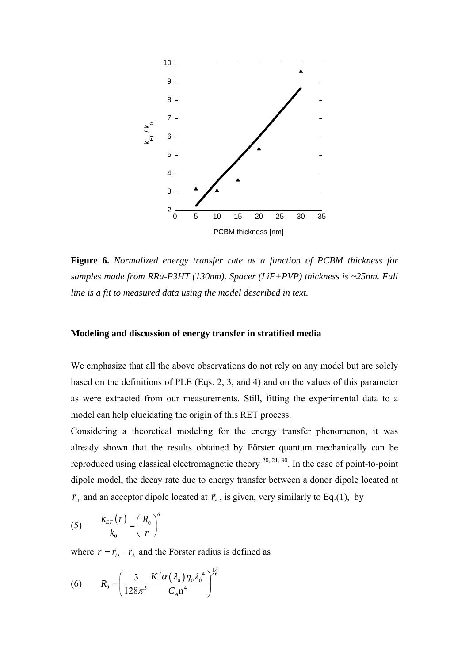

**Figure 6.** *Normalized energy transfer rate as a function of PCBM thickness for samples made from RRa-P3HT (130nm). Spacer (LiF+PVP) thickness is ~25nm. Full line is a fit to measured data using the model described in text.*

## **Modeling and discussion of energy transfer in stratified media**

We emphasize that all the above observations do not rely on any model but are solely based on the definitions of PLE (Eqs. 2, 3, and 4) and on the values of this parameter as were extracted from our measurements. Still, fitting the experimental data to a model can help elucidating the origin of this RET process.

Considering a theoretical modeling for the energy transfer phenomenon, it was already shown that the results obtained by Förster quantum mechanically can be reproduced using classical electromagnetic theory  $^{20, 21, 30}$ . In the case of point-to-point dipole model, the decay rate due to energy transfer between a donor dipole located at  $\vec{r}_D$  and an acceptor dipole located at  $\vec{r}_A$ , is given, very similarly to Eq.(1), by

$$
(5) \qquad \frac{k_{ET}(r)}{k_0} = \left(\frac{R_0}{r}\right)^6
$$

where  $\vec{r} = \vec{r}_D - \vec{r}_A$  and the Förster radius is defined as

(6) 
$$
R_0 = \left(\frac{3}{128\pi^5} \frac{K^2 \alpha (\lambda_0) \eta_0 \lambda_0^4}{C_A n^4}\right)^{1/6}
$$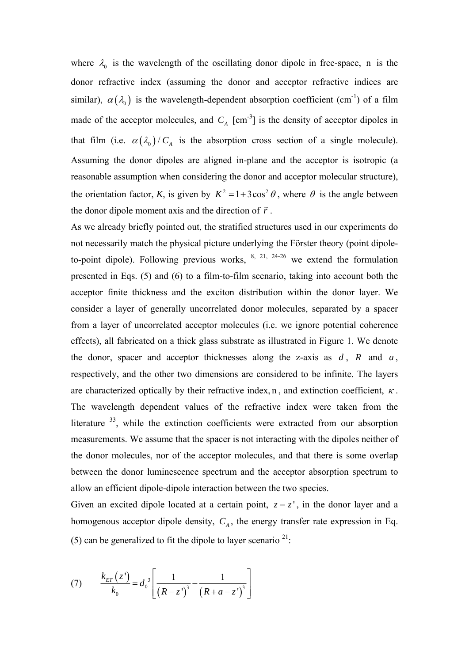where  $\lambda_0$  is the wavelength of the oscillating donor dipole in free-space, n is the donor refractive index (assuming the donor and acceptor refractive indices are similar),  $\alpha(\lambda_0)$  is the wavelength-dependent absorption coefficient (cm<sup>-1</sup>) of a film made of the acceptor molecules, and  $C_A$  [cm<sup>-3</sup>] is the density of acceptor dipoles in that film (i.e.  $\alpha(\lambda_0)/C_A$  is the absorption cross section of a single molecule). Assuming the donor dipoles are aligned in-plane and the acceptor is isotropic (a reasonable assumption when considering the donor and acceptor molecular structure), the orientation factor, *K*, is given by  $K^2 = 1 + 3\cos^2 \theta$ , where  $\theta$  is the angle between the donor dipole moment axis and the direction of  $\vec{r}$ .

As we already briefly pointed out, the stratified structures used in our experiments do not necessarily match the physical picture underlying the Förster theory (point dipoleto-point dipole). Following previous works,  $\frac{8, 21, 24-26}{8}$  we extend the formulation presented in Eqs. (5) and (6) to a film-to-film scenario, taking into account both the acceptor finite thickness and the exciton distribution within the donor layer. We consider a layer of generally uncorrelated donor molecules, separated by a spacer from a layer of uncorrelated acceptor molecules (i.e. we ignore potential coherence effects), all fabricated on a thick glass substrate as illustrated in Figure 1. We denote the donor, spacer and acceptor thicknesses along the z-axis as  $d$ ,  $R$  and  $a$ , respectively, and the other two dimensions are considered to be infinite. The layers are characterized optically by their refractive index, n, and extinction coefficient,  $\kappa$ . The wavelength dependent values of the refractive index were taken from the literature  $33$ , while the extinction coefficients were extracted from our absorption measurements. We assume that the spacer is not interacting with the dipoles neither of the donor molecules, nor of the acceptor molecules, and that there is some overlap between the donor luminescence spectrum and the acceptor absorption spectrum to allow an efficient dipole-dipole interaction between the two species.

Given an excited dipole located at a certain point,  $z = z'$ , in the donor layer and a homogenous acceptor dipole density,  $C_A$ , the energy transfer rate expression in Eq. (5) can be generalized to fit the dipole to layer scenario  $2^{1}$ :

(7) 
$$
\frac{k_{ET}(z^{\prime})}{k_0} = d_0^3 \left[ \frac{1}{(R-z^{\prime})^3} - \frac{1}{(R+a-z^{\prime})^3} \right]
$$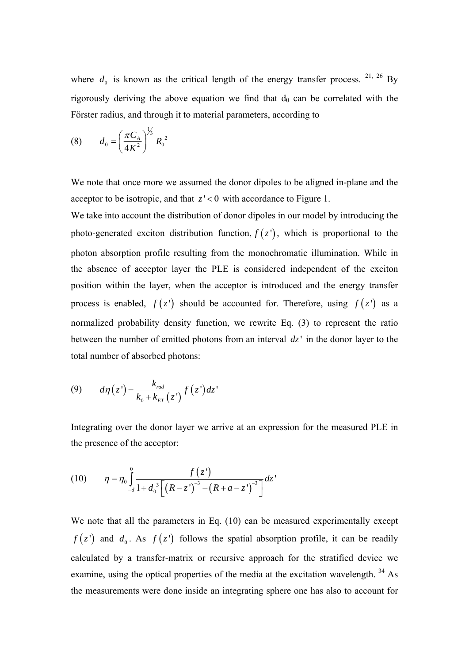where  $d_0$  is known as the critical length of the energy transfer process. <sup>21, 26</sup> By rigorously deriving the above equation we find that  $d_0$  can be correlated with the Förster radius, and through it to material parameters, according to

(8) 
$$
d_0 = \left(\frac{\pi C_A}{4K^2}\right)^{\frac{1}{3}} R_0^2
$$

We note that once more we assumed the donor dipoles to be aligned in-plane and the acceptor to be isotropic, and that  $z' < 0$  with accordance to Figure 1.

We take into account the distribution of donor dipoles in our model by introducing the photo-generated exciton distribution function,  $f(z)$ , which is proportional to the photon absorption profile resulting from the monochromatic illumination. While in the absence of acceptor layer the PLE is considered independent of the exciton position within the layer, when the acceptor is introduced and the energy transfer process is enabled,  $f(z)$  should be accounted for. Therefore, using  $f(z)$  as a normalized probability density function, we rewrite Eq. (3) to represent the ratio between the number of emitted photons from an interval *dz*' in the donor layer to the total number of absorbed photons:

$$
(9) \qquad d\eta(z') = \frac{k_{\text{rad}}}{k_0 + k_{\text{ET}}(z')} f(z') dz'
$$

Integrating over the donor layer we arrive at an expression for the measured PLE in the presence of the acceptor:

(10) 
$$
\eta = \eta_0 \int_{-d}^{0} \frac{f(z^{n})}{1 + d_0^{3} \left[ \left(R - z^{n} \right)^{-3} - \left(R + a - z^{n} \right)^{-3} \right]} dz^{n}
$$

We note that all the parameters in Eq. (10) can be measured experimentally except  $f(z')$  and  $d_0$ . As  $f(z')$  follows the spatial absorption profile, it can be readily calculated by a transfer-matrix or recursive approach for the stratified device we examine, using the optical properties of the media at the excitation wavelength. 34 As the measurements were done inside an integrating sphere one has also to account for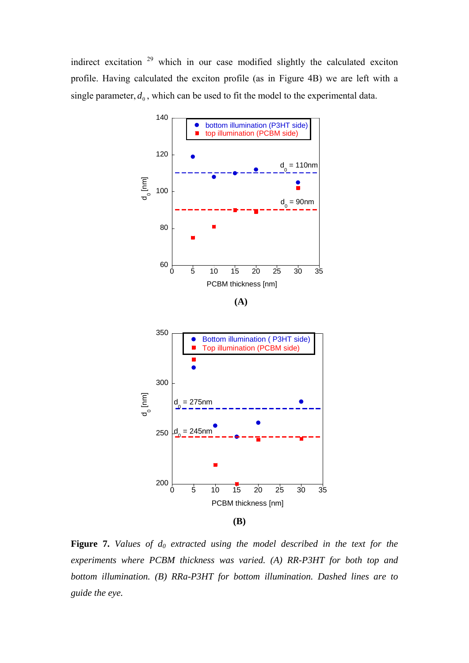indirect excitation 29 which in our case modified slightly the calculated exciton profile. Having calculated the exciton profile (as in Figure 4B) we are left with a single parameter,  $d_0$ , which can be used to fit the model to the experimental data.



Figure 7. Values of  $d_0$  extracted using the model described in the text for the *experiments where PCBM thickness was varied. (A) RR-P3HT for both top and bottom illumination. (B) RRa-P3HT for bottom illumination. Dashed lines are to guide the eye.*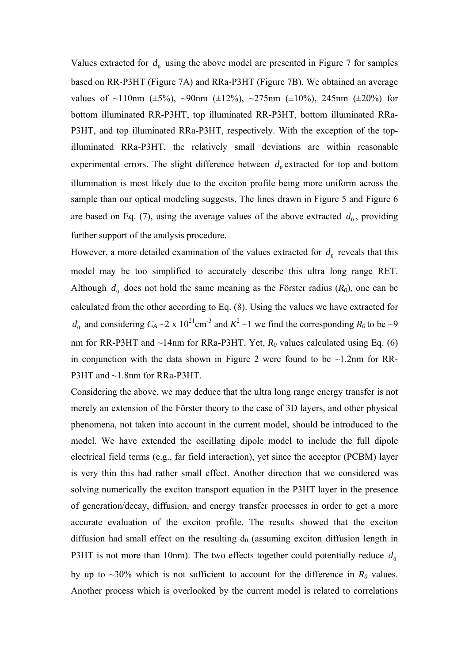Values extracted for  $d_0$  using the above model are presented in Figure 7 for samples based on RR-P3HT (Figure 7A) and RRa-P3HT (Figure 7B). We obtained an average values of  $\sim$ 110nm ( $\pm$ 5%),  $\sim$ 90nm ( $\pm$ 12%),  $\sim$ 275nm ( $\pm$ 10%), 245nm ( $\pm$ 20%) for bottom illuminated RR-P3HT, top illuminated RR-P3HT, bottom illuminated RRa-P3HT, and top illuminated RRa-P3HT, respectively. With the exception of the topilluminated RRa-P3HT, the relatively small deviations are within reasonable experimental errors. The slight difference between  $d_0$  extracted for top and bottom illumination is most likely due to the exciton profile being more uniform across the sample than our optical modeling suggests. The lines drawn in Figure 5 and Figure 6 are based on Eq. (7), using the average values of the above extracted  $d_0$ , providing further support of the analysis procedure.

However, a more detailed examination of the values extracted for  $d_0$  reveals that this model may be too simplified to accurately describe this ultra long range RET. Although  $d_0$  does not hold the same meaning as the Förster radius  $(R_0)$ , one can be calculated from the other according to Eq. (8). Using the values we have extracted for  $d_0$  and considering  $C_A \sim 2 \times 10^{21}$ cm<sup>-3</sup> and  $K^2 \sim 1$  we find the corresponding  $R_0$  to be  $\sim 9$ nm for RR-P3HT and  $\sim$ 14nm for RRa-P3HT. Yet,  $R_0$  values calculated using Eq. (6) in conjunction with the data shown in Figure 2 were found to be  $\sim$ 1.2nm for RR-P3HT and  $\sim$ 1.8 nm for RRa-P3HT.

Considering the above, we may deduce that the ultra long range energy transfer is not merely an extension of the Förster theory to the case of 3D layers, and other physical phenomena, not taken into account in the current model, should be introduced to the model. We have extended the oscillating dipole model to include the full dipole electrical field terms (e.g., far field interaction), yet since the acceptor (PCBM) layer is very thin this had rather small effect. Another direction that we considered was solving numerically the exciton transport equation in the P3HT layer in the presence of generation/decay, diffusion, and energy transfer processes in order to get a more accurate evaluation of the exciton profile. The results showed that the exciton diffusion had small effect on the resulting  $d_0$  (assuming exciton diffusion length in P3HT is not more than 10nm). The two effects together could potentially reduce  $d_0$ by up to  $\sim$ 30% which is not sufficient to account for the difference in  $R_0$  values. Another process which is overlooked by the current model is related to correlations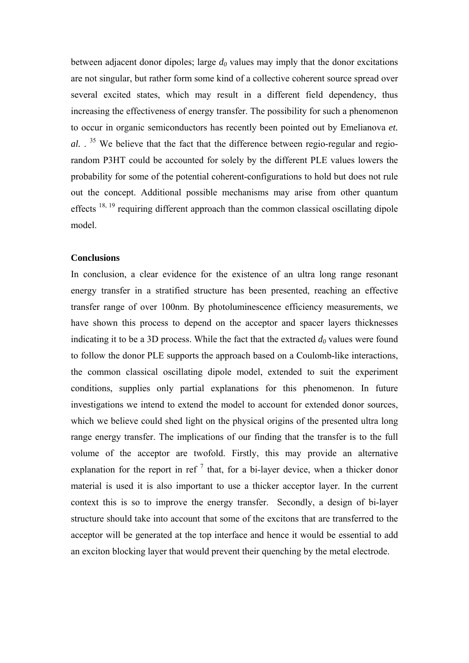between adjacent donor dipoles; large  $d_0$  values may imply that the donor excitations are not singular, but rather form some kind of a collective coherent source spread over several excited states, which may result in a different field dependency, thus increasing the effectiveness of energy transfer. The possibility for such a phenomenon to occur in organic semiconductors has recently been pointed out by Emelianova *et. al.* . 35 We believe that the fact that the difference between regio-regular and regiorandom P3HT could be accounted for solely by the different PLE values lowers the probability for some of the potential coherent-configurations to hold but does not rule out the concept. Additional possible mechanisms may arise from other quantum effects  $18, 19$  requiring different approach than the common classical oscillating dipole model.

#### **Conclusions**

In conclusion, a clear evidence for the existence of an ultra long range resonant energy transfer in a stratified structure has been presented, reaching an effective transfer range of over 100nm. By photoluminescence efficiency measurements, we have shown this process to depend on the acceptor and spacer layers thicknesses indicating it to be a 3D process. While the fact that the extracted  $d_0$  values were found to follow the donor PLE supports the approach based on a Coulomb-like interactions, the common classical oscillating dipole model, extended to suit the experiment conditions, supplies only partial explanations for this phenomenon. In future investigations we intend to extend the model to account for extended donor sources, which we believe could shed light on the physical origins of the presented ultra long range energy transfer. The implications of our finding that the transfer is to the full volume of the acceptor are twofold. Firstly, this may provide an alternative explanation for the report in ref<sup>7</sup> that, for a bi-layer device, when a thicker donor material is used it is also important to use a thicker acceptor layer. In the current context this is so to improve the energy transfer. Secondly, a design of bi-layer structure should take into account that some of the excitons that are transferred to the acceptor will be generated at the top interface and hence it would be essential to add an exciton blocking layer that would prevent their quenching by the metal electrode.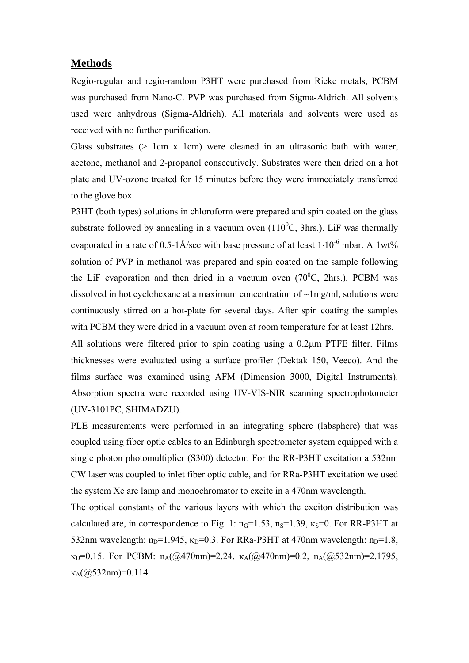## **Methods**

Regio-regular and regio-random P3HT were purchased from Rieke metals, PCBM was purchased from Nano-C. PVP was purchased from Sigma-Aldrich. All solvents used were anhydrous (Sigma-Aldrich). All materials and solvents were used as received with no further purification.

Glass substrates  $($ > 1cm x 1cm) were cleaned in an ultrasonic bath with water, acetone, methanol and 2-propanol consecutively. Substrates were then dried on a hot plate and UV-ozone treated for 15 minutes before they were immediately transferred to the glove box.

P3HT (both types) solutions in chloroform were prepared and spin coated on the glass substrate followed by annealing in a vacuum oven  $(110^0C, 3)$ hrs.). LiF was thermally evaporated in a rate of 0.5-1Å/sec with base pressure of at least  $1.10^{-6}$  mbar. A 1wt% solution of PVP in methanol was prepared and spin coated on the sample following the LiF evaporation and then dried in a vacuum oven  $(70^{\circ}C, 2)$ hrs.). PCBM was dissolved in hot cyclohexane at a maximum concentration of ~1mg/ml, solutions were continuously stirred on a hot-plate for several days. After spin coating the samples with PCBM they were dried in a vacuum oven at room temperature for at least 12hrs.

All solutions were filtered prior to spin coating using a 0.2 $\mu$ m PTFE filter. Films thicknesses were evaluated using a surface profiler (Dektak 150, Veeco). And the films surface was examined using AFM (Dimension 3000, Digital Instruments). Absorption spectra were recorded using UV-VIS-NIR scanning spectrophotometer (UV-3101PC, SHIMADZU).

PLE measurements were performed in an integrating sphere (labsphere) that was coupled using fiber optic cables to an Edinburgh spectrometer system equipped with a single photon photomultiplier (S300) detector. For the RR-P3HT excitation a 532nm CW laser was coupled to inlet fiber optic cable, and for RRa-P3HT excitation we used the system Xe arc lamp and monochromator to excite in a 470nm wavelength.

The optical constants of the various layers with which the exciton distribution was calculated are, in correspondence to Fig. 1:  $n_G=1.53$ ,  $n_S=1.39$ ,  $\kappa_S=0$ . For RR-P3HT at 532nm wavelength:  $n_D=1.945$ ,  $\kappa_D=0.3$ . For RRa-P3HT at 470nm wavelength:  $n_D=1.8$ ,  $\kappa_D=0.15$ . For PCBM:  $n_A(\omega/470nm)=2.24$ ,  $\kappa_A(\omega/470nm)=0.2$ ,  $n_A(\omega/632nm)=2.1795$ ,  $\kappa_A(\omega)$ 532nm)=0.114.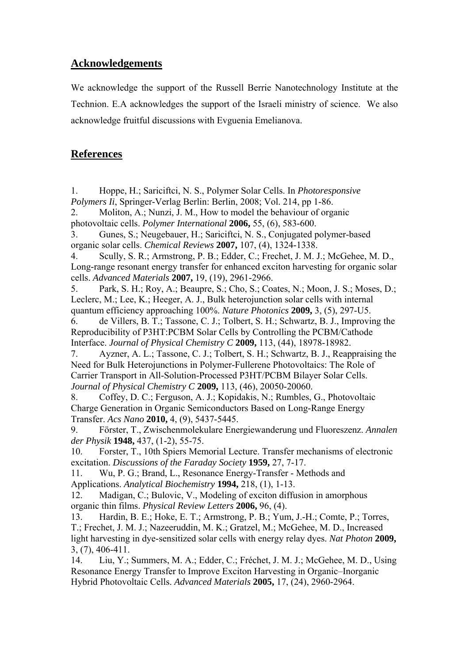# **Acknowledgements**

We acknowledge the support of the Russell Berrie Nanotechnology Institute at the Technion. E.A acknowledges the support of the Israeli ministry of science. We also acknowledge fruitful discussions with Evguenia Emelianova.

# **References**

1. Hoppe, H.; Sariciftci, N. S., Polymer Solar Cells. In *Photoresponsive Polymers Ii*, Springer-Verlag Berlin: Berlin, 2008; Vol. 214, pp 1-86.

2. Moliton, A.; Nunzi, J. M., How to model the behaviour of organic photovoltaic cells. *Polymer International* **2006,** 55, (6), 583-600.

3. Gunes, S.; Neugebauer, H.; Sariciftci, N. S., Conjugated polymer-based organic solar cells. *Chemical Reviews* **2007,** 107, (4), 1324-1338.

4. Scully, S. R.; Armstrong, P. B.; Edder, C.; Frechet, J. M. J.; McGehee, M. D., Long-range resonant energy transfer for enhanced exciton harvesting for organic solar cells. *Advanced Materials* **2007,** 19, (19), 2961-2966.

5. Park, S. H.; Roy, A.; Beaupre, S.; Cho, S.; Coates, N.; Moon, J. S.; Moses, D.; Leclerc, M.; Lee, K.; Heeger, A. J., Bulk heterojunction solar cells with internal quantum efficiency approaching 100%. *Nature Photonics* **2009,** 3, (5), 297-U5.

6. de Villers, B. T.; Tassone, C. J.; Tolbert, S. H.; Schwartz, B. J., Improving the Reproducibility of P3HT:PCBM Solar Cells by Controlling the PCBM/Cathode Interface. *Journal of Physical Chemistry C* **2009,** 113, (44), 18978-18982.

7. Ayzner, A. L.; Tassone, C. J.; Tolbert, S. H.; Schwartz, B. J., Reappraising the Need for Bulk Heterojunctions in Polymer-Fullerene Photovoltaics: The Role of Carrier Transport in All-Solution-Processed P3HT/PCBM Bilayer Solar Cells. *Journal of Physical Chemistry C* **2009,** 113, (46), 20050-20060.

8. Coffey, D. C.; Ferguson, A. J.; Kopidakis, N.; Rumbles, G., Photovoltaic Charge Generation in Organic Semiconductors Based on Long-Range Energy Transfer. *Acs Nano* **2010,** 4, (9), 5437-5445.

9. Förster, T., Zwischenmolekulare Energiewanderung und Fluoreszenz. *Annalen der Physik* **1948,** 437, (1-2), 55-75.

10. Forster, T., 10th Spiers Memorial Lecture. Transfer mechanisms of electronic excitation. *Discussions of the Faraday Society* **1959,** 27, 7-17.

11. Wu, P. G.; Brand, L., Resonance Energy-Transfer - Methods and Applications. *Analytical Biochemistry* **1994,** 218, (1), 1-13.

12. Madigan, C.; Bulovic, V., Modeling of exciton diffusion in amorphous organic thin films. *Physical Review Letters* **2006,** 96, (4).

13. Hardin, B. E.; Hoke, E. T.; Armstrong, P. B.; Yum, J.-H.; Comte, P.; Torres, T.; Frechet, J. M. J.; Nazeeruddin, M. K.; Gratzel, M.; McGehee, M. D., Increased light harvesting in dye-sensitized solar cells with energy relay dyes. *Nat Photon* **2009,** 3, (7), 406-411.

14. Liu, Y.; Summers, M. A.; Edder, C.; Fréchet, J. M. J.; McGehee, M. D., Using Resonance Energy Transfer to Improve Exciton Harvesting in Organic–Inorganic Hybrid Photovoltaic Cells. *Advanced Materials* **2005,** 17, (24), 2960-2964.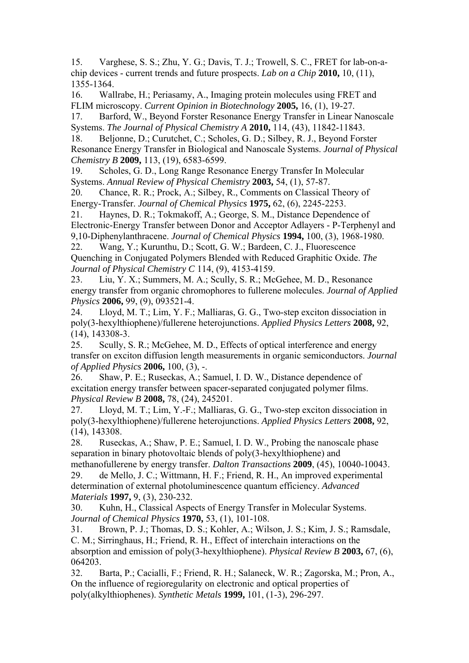15. Varghese, S. S.; Zhu, Y. G.; Davis, T. J.; Trowell, S. C., FRET for lab-on-achip devices - current trends and future prospects. *Lab on a Chip* **2010,** 10, (11), 1355-1364.

16. Wallrabe, H.; Periasamy, A., Imaging protein molecules using FRET and FLIM microscopy. *Current Opinion in Biotechnology* **2005,** 16, (1), 19-27.

17. Barford, W., Beyond Forster Resonance Energy Transfer in Linear Nanoscale Systems. *The Journal of Physical Chemistry A* **2010,** 114, (43), 11842-11843.

18. Beljonne, D.; Curutchet, C.; Scholes, G. D.; Silbey, R. J., Beyond Forster Resonance Energy Transfer in Biological and Nanoscale Systems. *Journal of Physical Chemistry B* **2009,** 113, (19), 6583-6599.

19. Scholes, G. D., Long Range Resonance Energy Transfer In Molecular Systems. *Annual Review of Physical Chemistry* **2003,** 54, (1), 57-87.

20. Chance, R. R.; Prock, A.; Silbey, R., Comments on Classical Theory of Energy-Transfer. *Journal of Chemical Physics* **1975,** 62, (6), 2245-2253.

21. Haynes, D. R.; Tokmakoff, A.; George, S. M., Distance Dependence of Electronic-Energy Transfer between Donor and Acceptor Adlayers - P-Terphenyl and 9,10-Diphenylanthracene. *Journal of Chemical Physics* **1994,** 100, (3), 1968-1980.

22. Wang, Y.; Kurunthu, D.; Scott, G. W.; Bardeen, C. J., Fluorescence Quenching in Conjugated Polymers Blended with Reduced Graphitic Oxide. *The Journal of Physical Chemistry C* 114, (9), 4153-4159.

23. Liu, Y. X.; Summers, M. A.; Scully, S. R.; McGehee, M. D., Resonance energy transfer from organic chromophores to fullerene molecules. *Journal of Applied Physics* **2006,** 99, (9), 093521-4.

24. Lloyd, M. T.; Lim, Y. F.; Malliaras, G. G., Two-step exciton dissociation in poly(3-hexylthiophene)/fullerene heterojunctions. *Applied Physics Letters* **2008,** 92, (14), 143308-3.

25. Scully, S. R.; McGehee, M. D., Effects of optical interference and energy transfer on exciton diffusion length measurements in organic semiconductors. *Journal of Applied Physics* **2006,** 100, (3), -.

26. Shaw, P. E.; Ruseckas, A.; Samuel, I. D. W., Distance dependence of excitation energy transfer between spacer-separated conjugated polymer films. *Physical Review B* **2008,** 78, (24), 245201.

27. Lloyd, M. T.; Lim, Y.-F.; Malliaras, G. G., Two-step exciton dissociation in poly(3-hexylthiophene)/fullerene heterojunctions. *Applied Physics Letters* **2008,** 92, (14), 143308.

28. Ruseckas, A.; Shaw, P. E.; Samuel, I. D. W., Probing the nanoscale phase separation in binary photovoltaic blends of poly(3-hexylthiophene) and

methanofullerene by energy transfer. *Dalton Transactions* **2009**, (45), 10040-10043. 29. de Mello, J. C.; Wittmann, H. F.; Friend, R. H., An improved experimental determination of external photoluminescence quantum efficiency. *Advanced Materials* **1997,** 9, (3), 230-232.

30. Kuhn, H., Classical Aspects of Energy Transfer in Molecular Systems. *Journal of Chemical Physics* **1970,** 53, (1), 101-108.

31. Brown, P. J.; Thomas, D. S.; Kohler, A.; Wilson, J. S.; Kim, J. S.; Ramsdale, C. M.; Sirringhaus, H.; Friend, R. H., Effect of interchain interactions on the absorption and emission of poly(3-hexylthiophene). *Physical Review B* **2003,** 67, (6), 064203.

32. Barta, P.; Cacialli, F.; Friend, R. H.; Salaneck, W. R.; Zagorska, M.; Pron, A., On the influence of regioregularity on electronic and optical properties of poly(alkylthiophenes). *Synthetic Metals* **1999,** 101, (1-3), 296-297.